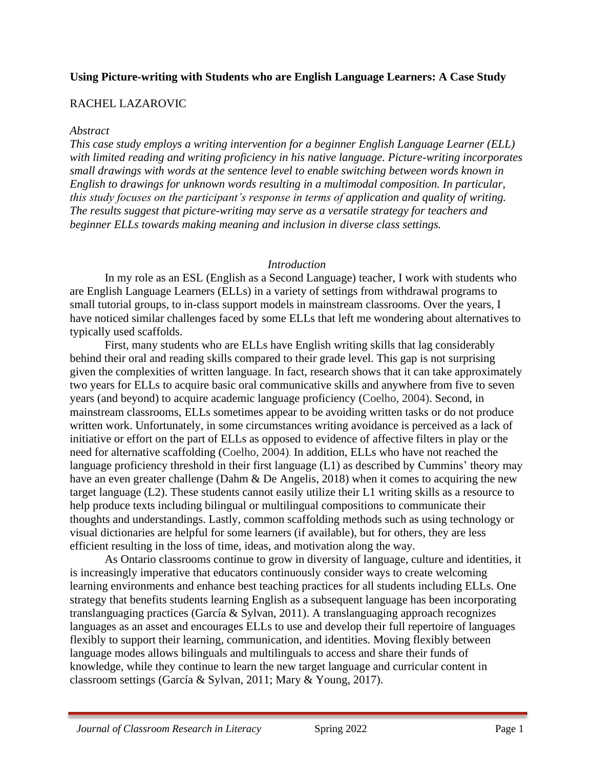### **Using Picture-writing with Students who are English Language Learners: A Case Study**

#### RACHEL LAZAROVIC

#### *Abstract*

*This case study employs a writing intervention for a beginner English Language Learner (ELL) with limited reading and writing proficiency in his native language. Picture-writing incorporates small drawings with words at the sentence level to enable switching between words known in English to drawings for unknown words resulting in a multimodal composition. In particular, this study focuses on the participant's response in terms of application and quality of writing. The results suggest that picture-writing may serve as a versatile strategy for teachers and beginner ELLs towards making meaning and inclusion in diverse class settings.*

#### *Introduction*

In my role as an ESL (English as a Second Language) teacher, I work with students who are English Language Learners (ELLs) in a variety of settings from withdrawal programs to small tutorial groups, to in-class support models in mainstream classrooms. Over the years, I have noticed similar challenges faced by some ELLs that left me wondering about alternatives to typically used scaffolds.

First, many students who are ELLs have English writing skills that lag considerably behind their oral and reading skills compared to their grade level. This gap is not surprising given the complexities of written language. In fact, research shows that it can take approximately two years for ELLs to acquire basic oral communicative skills and anywhere from five to seven years (and beyond) to acquire academic language proficiency (Coelho, 2004). Second, in mainstream classrooms, ELLs sometimes appear to be avoiding written tasks or do not produce written work. Unfortunately, in some circumstances writing avoidance is perceived as a lack of initiative or effort on the part of ELLs as opposed to evidence of affective filters in play or the need for alternative scaffolding (Coelho, 2004). In addition, ELLs who have not reached the language proficiency threshold in their first language (L1) as described by Cummins' theory may have an even greater challenge (Dahm & De Angelis, 2018) when it comes to acquiring the new target language (L2). These students cannot easily utilize their L1 writing skills as a resource to help produce texts including bilingual or multilingual compositions to communicate their thoughts and understandings. Lastly, common scaffolding methods such as using technology or visual dictionaries are helpful for some learners (if available), but for others, they are less efficient resulting in the loss of time, ideas, and motivation along the way.

As Ontario classrooms continue to grow in diversity of language, culture and identities, it is increasingly imperative that educators continuously consider ways to create welcoming learning environments and enhance best teaching practices for all students including ELLs. One strategy that benefits students learning English as a subsequent language has been incorporating translanguaging practices (García & Sylvan, 2011). A translanguaging approach recognizes languages as an asset and encourages ELLs to use and develop their full repertoire of languages flexibly to support their learning, communication, and identities. Moving flexibly between language modes allows bilinguals and multilinguals to access and share their funds of knowledge, while they continue to learn the new target language and curricular content in classroom settings (García & Sylvan, 2011; Mary & Young, 2017).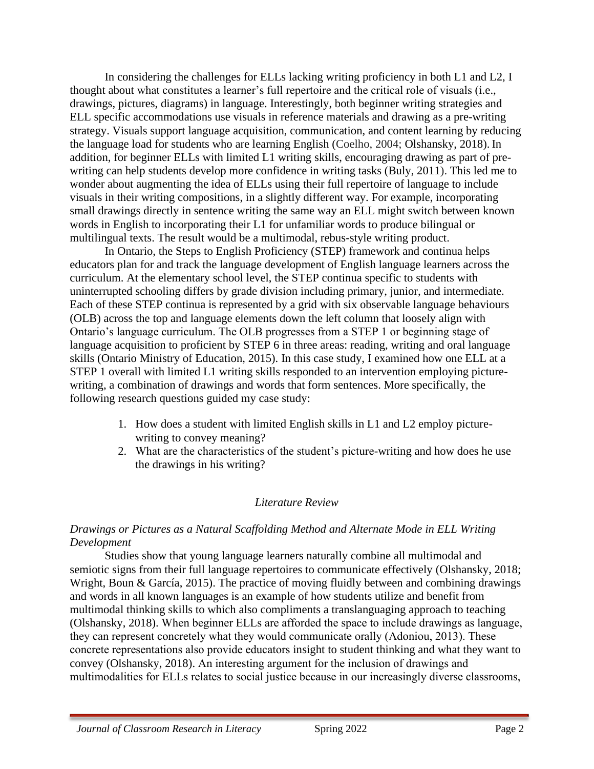In considering the challenges for ELLs lacking writing proficiency in both L1 and L2, I thought about what constitutes a learner's full repertoire and the critical role of visuals (i.e., drawings, pictures, diagrams) in language. Interestingly, both beginner writing strategies and ELL specific accommodations use visuals in reference materials and drawing as a pre-writing strategy. Visuals support language acquisition, communication, and content learning by reducing the language load for students who are learning English (Coelho, 2004; Olshansky, 2018). In addition, for beginner ELLs with limited L1 writing skills, encouraging drawing as part of prewriting can help students develop more confidence in writing tasks (Buly, 2011). This led me to wonder about augmenting the idea of ELLs using their full repertoire of language to include visuals in their writing compositions, in a slightly different way. For example, incorporating small drawings directly in sentence writing the same way an ELL might switch between known words in English to incorporating their L1 for unfamiliar words to produce bilingual or multilingual texts. The result would be a multimodal, rebus-style writing product.

In Ontario, the Steps to English Proficiency (STEP) framework and continua helps educators plan for and track the language development of English language learners across the curriculum. At the elementary school level, the STEP continua specific to students with uninterrupted schooling differs by grade division including primary, junior, and intermediate. Each of these STEP continua is represented by a grid with six observable language behaviours (OLB) across the top and language elements down the left column that loosely align with Ontario's language curriculum. The OLB progresses from a STEP 1 or beginning stage of language acquisition to proficient by STEP 6 in three areas: reading, writing and oral language skills (Ontario Ministry of Education, 2015). In this case study, I examined how one ELL at a STEP 1 overall with limited L1 writing skills responded to an intervention employing picturewriting, a combination of drawings and words that form sentences. More specifically, the following research questions guided my case study:

- 1. How does a student with limited English skills in L1 and L2 employ picturewriting to convey meaning?
- 2. What are the characteristics of the student's picture-writing and how does he use the drawings in his writing?

### *Literature Review*

### *Drawings or Pictures as a Natural Scaffolding Method and Alternate Mode in ELL Writing Development*

Studies show that young language learners naturally combine all multimodal and semiotic signs from their full language repertoires to communicate effectively (Olshansky, 2018; Wright, Boun & García, 2015). The practice of moving fluidly between and combining drawings and words in all known languages is an example of how students utilize and benefit from multimodal thinking skills to which also compliments a translanguaging approach to teaching (Olshansky, 2018). When beginner ELLs are afforded the space to include drawings as language, they can represent concretely what they would communicate orally (Adoniou, 2013). These concrete representations also provide educators insight to student thinking and what they want to convey (Olshansky, 2018). An interesting argument for the inclusion of drawings and multimodalities for ELLs relates to social justice because in our increasingly diverse classrooms,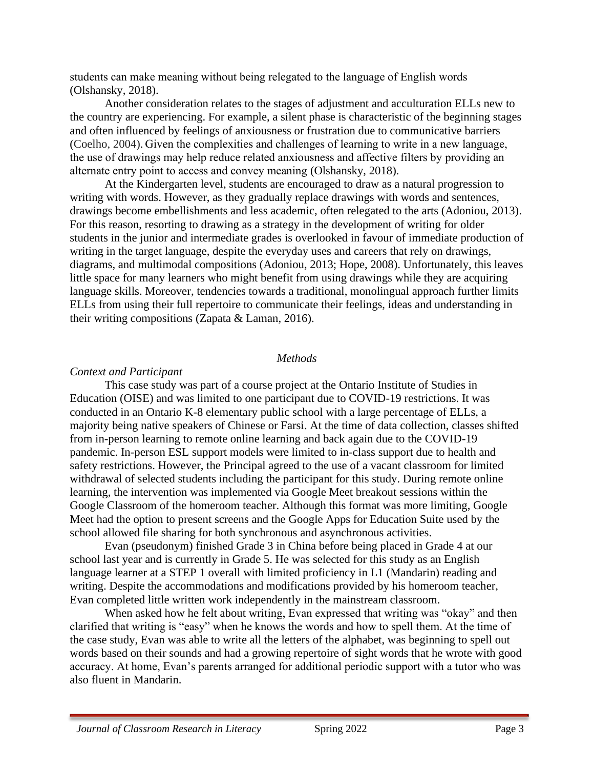students can make meaning without being relegated to the language of English words (Olshansky, 2018).

Another consideration relates to the stages of adjustment and acculturation ELLs new to the country are experiencing. For example, a silent phase is characteristic of the beginning stages and often influenced by feelings of anxiousness or frustration due to communicative barriers (Coelho, 2004). Given the complexities and challenges of learning to write in a new language, the use of drawings may help reduce related anxiousness and affective filters by providing an alternate entry point to access and convey meaning (Olshansky, 2018).

At the Kindergarten level, students are encouraged to draw as a natural progression to writing with words. However, as they gradually replace drawings with words and sentences, drawings become embellishments and less academic, often relegated to the arts (Adoniou, 2013). For this reason, resorting to drawing as a strategy in the development of writing for older students in the junior and intermediate grades is overlooked in favour of immediate production of writing in the target language, despite the everyday uses and careers that rely on drawings, diagrams, and multimodal compositions (Adoniou, 2013; Hope, 2008). Unfortunately, this leaves little space for many learners who might benefit from using drawings while they are acquiring language skills. Moreover, tendencies towards a traditional, monolingual approach further limits ELLs from using their full repertoire to communicate their feelings, ideas and understanding in their writing compositions (Zapata & Laman, 2016).

#### *Methods*

#### *Context and Participant*

This case study was part of a course project at the Ontario Institute of Studies in Education (OISE) and was limited to one participant due to COVID-19 restrictions. It was conducted in an Ontario K-8 elementary public school with a large percentage of ELLs, a majority being native speakers of Chinese or Farsi. At the time of data collection, classes shifted from in-person learning to remote online learning and back again due to the COVID-19 pandemic. In-person ESL support models were limited to in-class support due to health and safety restrictions. However, the Principal agreed to the use of a vacant classroom for limited withdrawal of selected students including the participant for this study. During remote online learning, the intervention was implemented via Google Meet breakout sessions within the Google Classroom of the homeroom teacher. Although this format was more limiting, Google Meet had the option to present screens and the Google Apps for Education Suite used by the school allowed file sharing for both synchronous and asynchronous activities.

Evan (pseudonym) finished Grade 3 in China before being placed in Grade 4 at our school last year and is currently in Grade 5. He was selected for this study as an English language learner at a STEP 1 overall with limited proficiency in L1 (Mandarin) reading and writing. Despite the accommodations and modifications provided by his homeroom teacher, Evan completed little written work independently in the mainstream classroom.

When asked how he felt about writing, Evan expressed that writing was "okay" and then clarified that writing is "easy" when he knows the words and how to spell them. At the time of the case study, Evan was able to write all the letters of the alphabet, was beginning to spell out words based on their sounds and had a growing repertoire of sight words that he wrote with good accuracy. At home, Evan's parents arranged for additional periodic support with a tutor who was also fluent in Mandarin.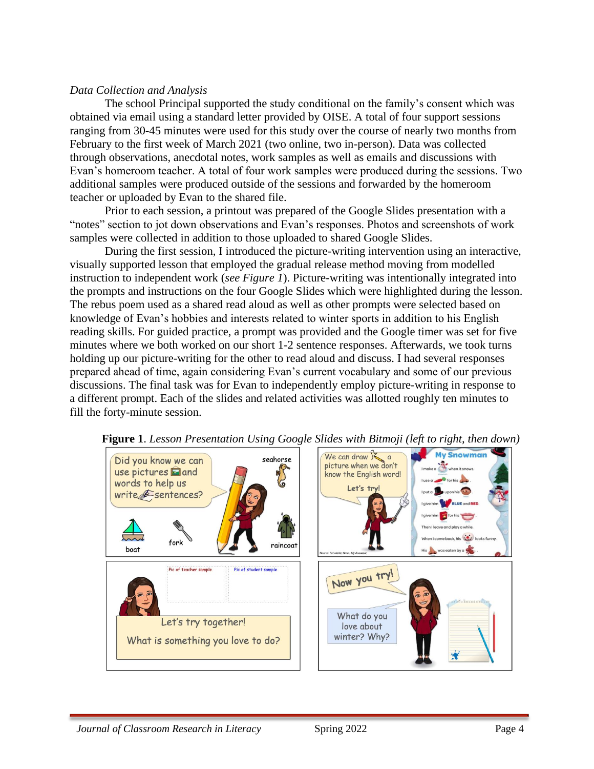## *Data Collection and Analysis*

The school Principal supported the study conditional on the family's consent which was obtained via email using a standard letter provided by OISE. A total of four support sessions ranging from 30-45 minutes were used for this study over the course of nearly two months from February to the first week of March 2021 (two online, two in-person). Data was collected through observations, anecdotal notes, work samples as well as emails and discussions with Evan's homeroom teacher. A total of four work samples were produced during the sessions. Two additional samples were produced outside of the sessions and forwarded by the homeroom teacher or uploaded by Evan to the shared file.

Prior to each session, a printout was prepared of the Google Slides presentation with a "notes" section to jot down observations and Evan's responses. Photos and screenshots of work samples were collected in addition to those uploaded to shared Google Slides.

During the first session, I introduced the picture-writing intervention using an interactive, visually supported lesson that employed the gradual release method moving from modelled instruction to independent work (*see Figure 1*). Picture-writing was intentionally integrated into the prompts and instructions on the four Google Slides which were highlighted during the lesson. The rebus poem used as a shared read aloud as well as other prompts were selected based on knowledge of Evan's hobbies and interests related to winter sports in addition to his English reading skills. For guided practice, a prompt was provided and the Google timer was set for five minutes where we both worked on our short 1-2 sentence responses. Afterwards, we took turns holding up our picture-writing for the other to read aloud and discuss. I had several responses prepared ahead of time, again considering Evan's current vocabulary and some of our previous discussions. The final task was for Evan to independently employ picture-writing in response to a different prompt. Each of the slides and related activities was allotted roughly ten minutes to fill the forty-minute session.



 **Figure 1**. *Lesson Presentation Using Google Slides with Bitmoji (left to right, then down)*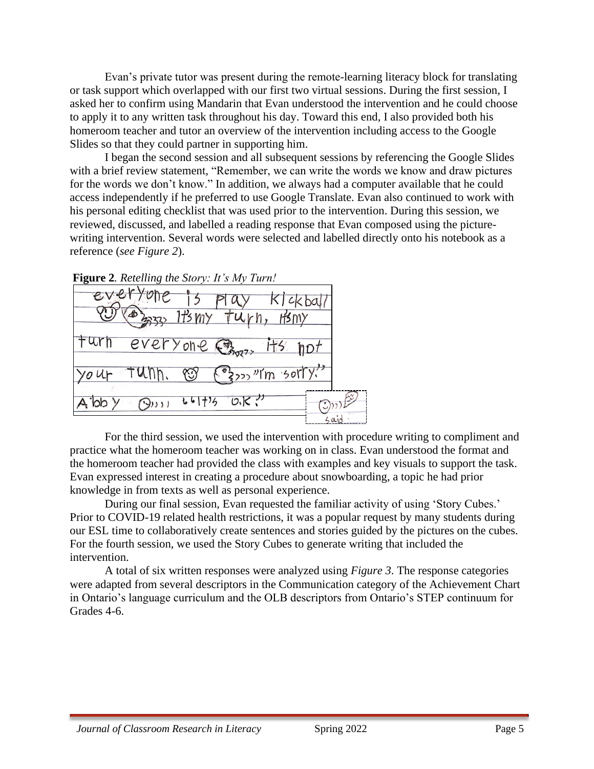Evan's private tutor was present during the remote-learning literacy block for translating or task support which overlapped with our first two virtual sessions. During the first session, I asked her to confirm using Mandarin that Evan understood the intervention and he could choose to apply it to any written task throughout his day. Toward this end, I also provided both his homeroom teacher and tutor an overview of the intervention including access to the Google Slides so that they could partner in supporting him.

I began the second session and all subsequent sessions by referencing the Google Slides with a brief review statement, "Remember, we can write the words we know and draw pictures for the words we don't know." In addition, we always had a computer available that he could access independently if he preferred to use Google Translate. Evan also continued to work with his personal editing checklist that was used prior to the intervention. During this session, we reviewed, discussed, and labelled a reading response that Evan composed using the picturewriting intervention. Several words were selected and labelled directly onto his notebook as a reference (*see Figure 2*).



For the third session, we used the intervention with procedure writing to compliment and practice what the homeroom teacher was working on in class. Evan understood the format and the homeroom teacher had provided the class with examples and key visuals to support the task. Evan expressed interest in creating a procedure about snowboarding, a topic he had prior knowledge in from texts as well as personal experience.

During our final session, Evan requested the familiar activity of using 'Story Cubes.' Prior to COVID-19 related health restrictions, it was a popular request by many students during our ESL time to collaboratively create sentences and stories guided by the pictures on the cubes. For the fourth session, we used the Story Cubes to generate writing that included the intervention.

A total of six written responses were analyzed using *Figure 3*. The response categories were adapted from several descriptors in the Communication category of the Achievement Chart in Ontario's language curriculum and the OLB descriptors from Ontario's STEP continuum for Grades 4-6.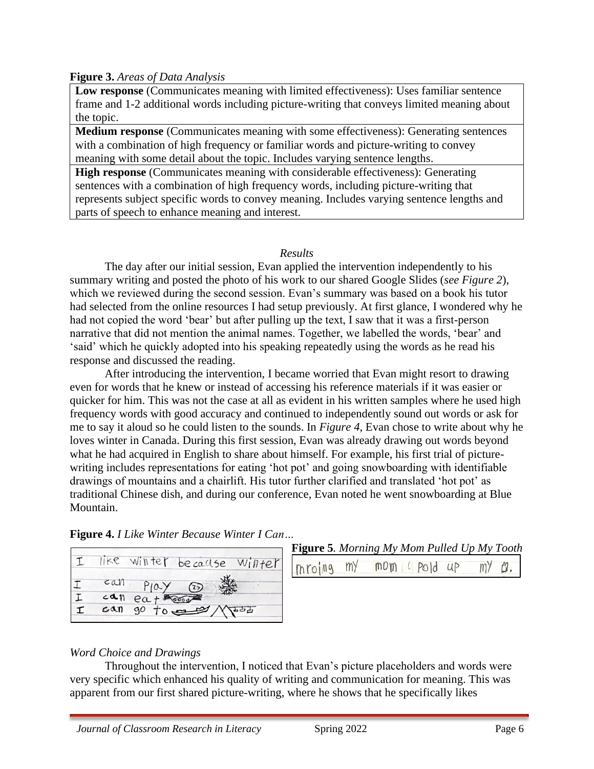## **Figure 3.** *Areas of Data Analysis*

**Low response** (Communicates meaning with limited effectiveness): Uses familiar sentence frame and 1-2 additional words including picture-writing that conveys limited meaning about the topic.

**Medium response** (Communicates meaning with some effectiveness): Generating sentences with a combination of high frequency or familiar words and picture-writing to convey meaning with some detail about the topic. Includes varying sentence lengths.

**High response** (Communicates meaning with considerable effectiveness): Generating sentences with a combination of high frequency words, including picture-writing that represents subject specific words to convey meaning. Includes varying sentence lengths and parts of speech to enhance meaning and interest.

### *Results*

The day after our initial session, Evan applied the intervention independently to his summary writing and posted the photo of his work to our shared Google Slides (*see Figure 2*), which we reviewed during the second session. Evan's summary was based on a book his tutor had selected from the online resources I had setup previously. At first glance, I wondered why he had not copied the word 'bear' but after pulling up the text, I saw that it was a first-person narrative that did not mention the animal names. Together, we labelled the words, 'bear' and 'said' which he quickly adopted into his speaking repeatedly using the words as he read his response and discussed the reading.

After introducing the intervention, I became worried that Evan might resort to drawing even for words that he knew or instead of accessing his reference materials if it was easier or quicker for him. This was not the case at all as evident in his written samples where he used high frequency words with good accuracy and continued to independently sound out words or ask for me to say it aloud so he could listen to the sounds. In *Figure 4*, Evan chose to write about why he loves winter in Canada. During this first session, Evan was already drawing out words beyond what he had acquired in English to share about himself. For example, his first trial of picturewriting includes representations for eating 'hot pot' and going snowboarding with identifiable drawings of mountains and a chairlift. His tutor further clarified and translated 'hot pot' as traditional Chinese dish, and during our conference, Evan noted he went snowboarding at Blue Mountain.





# **Figure 5***. Morning My Mom Pulled Up My Tooth*

my  $m$   $\alpha$   $n$   $\beta$   $\alpha$   $\beta$  $\omega$ . mroing mY

### *Word Choice and Drawings*

Throughout the intervention, I noticed that Evan's picture placeholders and words were very specific which enhanced his quality of writing and communication for meaning. This was apparent from our first shared picture-writing, where he shows that he specifically likes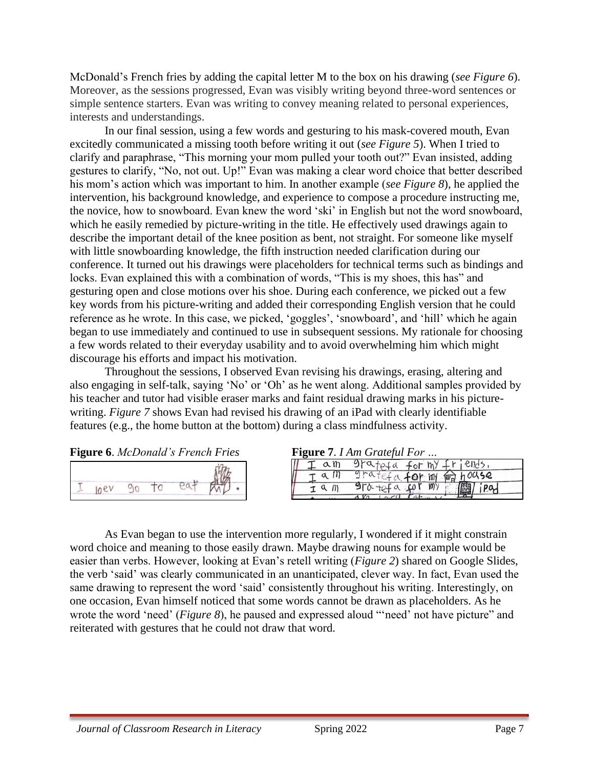McDonald's French fries by adding the capital letter M to the box on his drawing (*see Figure 6*). Moreover, as the sessions progressed, Evan was visibly writing beyond three-word sentences or simple sentence starters. Evan was writing to convey meaning related to personal experiences, interests and understandings.

In our final session, using a few words and gesturing to his mask-covered mouth, Evan excitedly communicated a missing tooth before writing it out (*see Figure 5*). When I tried to clarify and paraphrase, "This morning your mom pulled your tooth out?" Evan insisted, adding gestures to clarify, "No, not out. Up!" Evan was making a clear word choice that better described his mom's action which was important to him. In another example (*see Figure 8*), he applied the intervention, his background knowledge, and experience to compose a procedure instructing me, the novice, how to snowboard. Evan knew the word 'ski' in English but not the word snowboard, which he easily remedied by picture-writing in the title. He effectively used drawings again to describe the important detail of the knee position as bent, not straight. For someone like myself with little snowboarding knowledge, the fifth instruction needed clarification during our conference. It turned out his drawings were placeholders for technical terms such as bindings and locks. Evan explained this with a combination of words, "This is my shoes, this has" and gesturing open and close motions over his shoe. During each conference, we picked out a few key words from his picture-writing and added their corresponding English version that he could reference as he wrote. In this case, we picked, 'goggles', 'snowboard', and 'hill' which he again began to use immediately and continued to use in subsequent sessions. My rationale for choosing a few words related to their everyday usability and to avoid overwhelming him which might discourage his efforts and impact his motivation.

Throughout the sessions, I observed Evan revising his drawings, erasing, altering and also engaging in self-talk, saying 'No' or 'Oh' as he went along. Additional samples provided by his teacher and tutor had visible eraser marks and faint residual drawing marks in his picturewriting. *Figure 7* shows Evan had revised his drawing of an iPad with clearly identifiable features (e.g., the home button at the bottom) during a class mindfulness activity.

**Figure 6**. *McDonald's French Fries* 



| am | $9r$ atefa for $ny$ friends.      |
|----|-----------------------------------|
|    | $9rdtefa$ for $m$ $m$ $h^{00}$ se |
|    | $970 + 124$ a for my              |
|    |                                   |

As Evan began to use the intervention more regularly, I wondered if it might constrain word choice and meaning to those easily drawn. Maybe drawing nouns for example would be easier than verbs. However, looking at Evan's retell writing (*Figure 2*) shared on Google Slides, the verb 'said' was clearly communicated in an unanticipated, clever way. In fact, Evan used the same drawing to represent the word 'said' consistently throughout his writing. Interestingly, on one occasion, Evan himself noticed that some words cannot be drawn as placeholders. As he wrote the word 'need' (*Figure 8*), he paused and expressed aloud "'need' not have picture" and reiterated with gestures that he could not draw that word.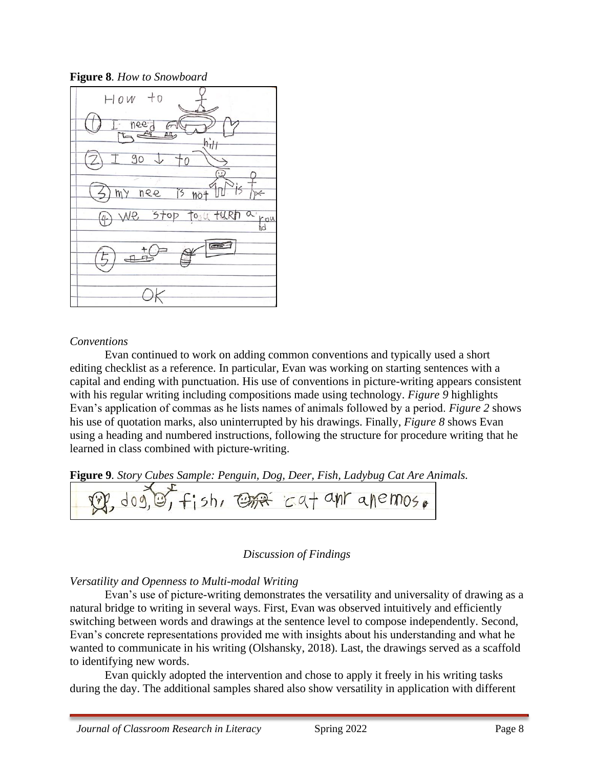**Figure 8***. How to Snowboard*



## *Conventions*

Evan continued to work on adding common conventions and typically used a short editing checklist as a reference. In particular, Evan was working on starting sentences with a capital and ending with punctuation. His use of conventions in picture-writing appears consistent with his regular writing including compositions made using technology. *Figure 9* highlights Evan's application of commas as he lists names of animals followed by a period. *Figure 2* shows his use of quotation marks, also uninterrupted by his drawings. Finally, *Figure 8* shows Evan using a heading and numbered instructions, following the structure for procedure writing that he learned in class combined with picture-writing.

**Figure 9***. Story Cubes Sample: Penguin, Dog, Deer, Fish, Ladybug Cat Are Animals.*

| $\mathbb{R}$ , $\text{log}(\mathbb{S})$ , $f_1$ sh, $\text{log}(\mathbb{R})$ cat ant anemos. |  |
|----------------------------------------------------------------------------------------------|--|
|                                                                                              |  |

### *Discussion of Findings*

## *Versatility and Openness to Multi-modal Writing*

Evan's use of picture-writing demonstrates the versatility and universality of drawing as a natural bridge to writing in several ways. First, Evan was observed intuitively and efficiently switching between words and drawings at the sentence level to compose independently. Second, Evan's concrete representations provided me with insights about his understanding and what he wanted to communicate in his writing (Olshansky, 2018). Last, the drawings served as a scaffold to identifying new words.

Evan quickly adopted the intervention and chose to apply it freely in his writing tasks during the day. The additional samples shared also show versatility in application with different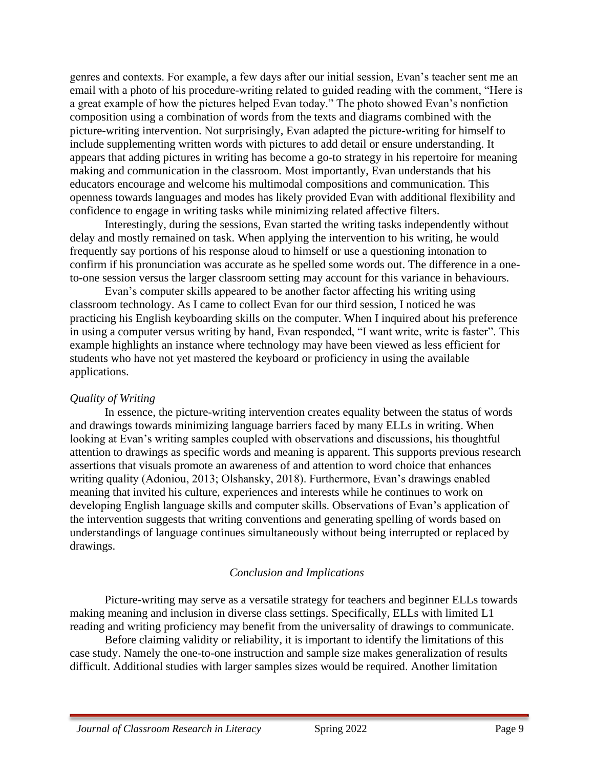genres and contexts. For example, a few days after our initial session, Evan's teacher sent me an email with a photo of his procedure-writing related to guided reading with the comment, "Here is a great example of how the pictures helped Evan today." The photo showed Evan's nonfiction composition using a combination of words from the texts and diagrams combined with the picture-writing intervention. Not surprisingly, Evan adapted the picture-writing for himself to include supplementing written words with pictures to add detail or ensure understanding. It appears that adding pictures in writing has become a go-to strategy in his repertoire for meaning making and communication in the classroom. Most importantly, Evan understands that his educators encourage and welcome his multimodal compositions and communication. This openness towards languages and modes has likely provided Evan with additional flexibility and confidence to engage in writing tasks while minimizing related affective filters.

Interestingly, during the sessions, Evan started the writing tasks independently without delay and mostly remained on task. When applying the intervention to his writing, he would frequently say portions of his response aloud to himself or use a questioning intonation to confirm if his pronunciation was accurate as he spelled some words out. The difference in a oneto-one session versus the larger classroom setting may account for this variance in behaviours.

Evan's computer skills appeared to be another factor affecting his writing using classroom technology. As I came to collect Evan for our third session, I noticed he was practicing his English keyboarding skills on the computer. When I inquired about his preference in using a computer versus writing by hand, Evan responded, "I want write, write is faster". This example highlights an instance where technology may have been viewed as less efficient for students who have not yet mastered the keyboard or proficiency in using the available applications.

#### *Quality of Writing*

In essence, the picture-writing intervention creates equality between the status of words and drawings towards minimizing language barriers faced by many ELLs in writing. When looking at Evan's writing samples coupled with observations and discussions, his thoughtful attention to drawings as specific words and meaning is apparent. This supports previous research assertions that visuals promote an awareness of and attention to word choice that enhances writing quality (Adoniou, 2013; Olshansky, 2018). Furthermore, Evan's drawings enabled meaning that invited his culture, experiences and interests while he continues to work on developing English language skills and computer skills. Observations of Evan's application of the intervention suggests that writing conventions and generating spelling of words based on understandings of language continues simultaneously without being interrupted or replaced by drawings.

### *Conclusion and Implications*

Picture-writing may serve as a versatile strategy for teachers and beginner ELLs towards making meaning and inclusion in diverse class settings. Specifically, ELLs with limited L1 reading and writing proficiency may benefit from the universality of drawings to communicate.

Before claiming validity or reliability, it is important to identify the limitations of this case study. Namely the one-to-one instruction and sample size makes generalization of results difficult. Additional studies with larger samples sizes would be required. Another limitation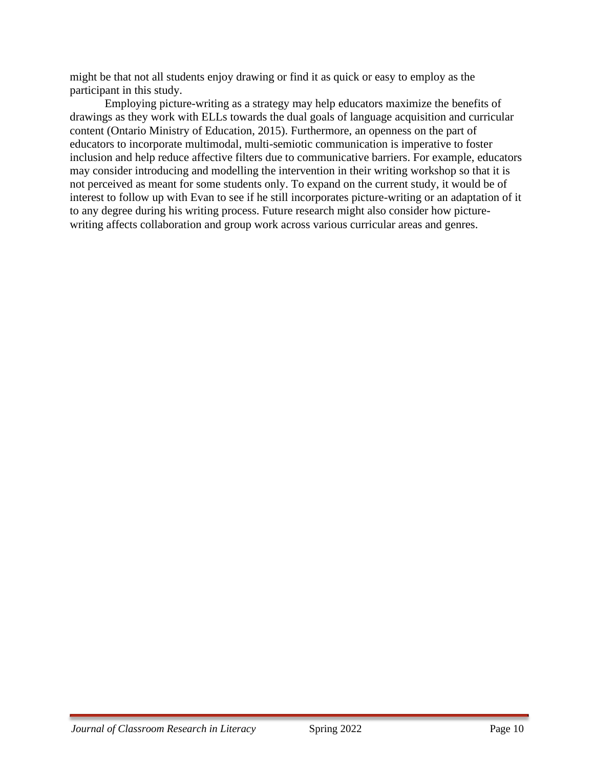might be that not all students enjoy drawing or find it as quick or easy to employ as the participant in this study.

Employing picture-writing as a strategy may help educators maximize the benefits of drawings as they work with ELLs towards the dual goals of language acquisition and curricular content (Ontario Ministry of Education, 2015). Furthermore, an openness on the part of educators to incorporate multimodal, multi-semiotic communication is imperative to foster inclusion and help reduce affective filters due to communicative barriers. For example, educators may consider introducing and modelling the intervention in their writing workshop so that it is not perceived as meant for some students only. To expand on the current study, it would be of interest to follow up with Evan to see if he still incorporates picture-writing or an adaptation of it to any degree during his writing process. Future research might also consider how picturewriting affects collaboration and group work across various curricular areas and genres.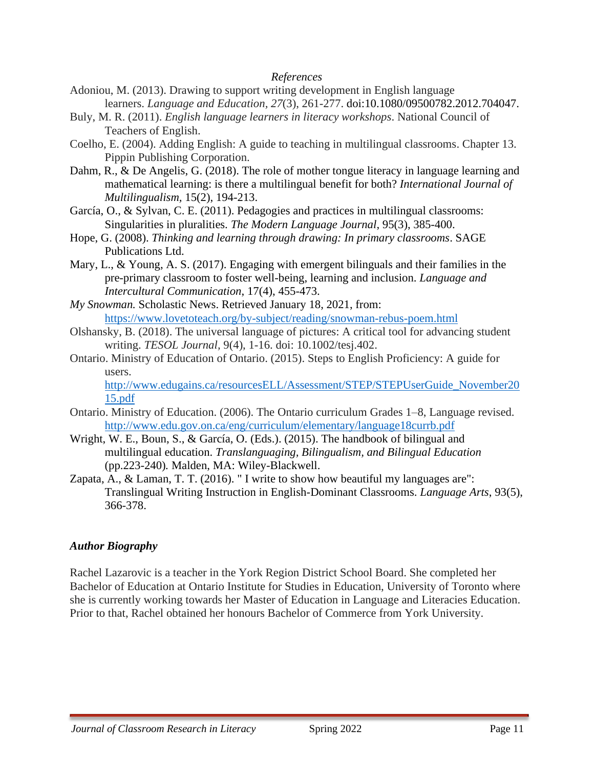#### *References*

- Adoniou, M. (2013). Drawing to support writing development in English language learners. *Language and Education, 27*(3), 261-277. doi:10.1080/09500782.2012.704047.
- Buly, M. R. (2011). *English language learners in literacy workshops*. National Council of Teachers of English.
- Coelho, E. (2004). Adding English: A guide to teaching in multilingual classrooms. Chapter 13. Pippin Publishing Corporation.
- Dahm, R., & De Angelis, G. (2018). The role of mother tongue literacy in language learning and mathematical learning: is there a multilingual benefit for both? *International Journal of Multilingualism,* 15(2), 194-213.
- García, O., & Sylvan, C. E. (2011). Pedagogies and practices in multilingual classrooms: Singularities in pluralities. *The Modern Language Journal*, 95(3), 385-400.
- Hope, G. (2008). *Thinking and learning through drawing: In primary classrooms*. SAGE Publications Ltd.
- Mary, L., & Young, A. S. (2017). Engaging with emergent bilinguals and their families in the pre-primary classroom to foster well-being, learning and inclusion. *Language and Intercultural Communication*, 17(4), 455-473.
- *My Snowman.* Scholastic News. Retrieved January 18, 2021, from: <https://www.lovetoteach.org/by-subject/reading/snowman-rebus-poem.html>
- Olshansky, B. (2018). The universal language of pictures: A critical tool for advancing student writing. *TESOL Journal,* 9(4), 1-16. doi: 10.1002/tesj.402.
- Ontario. Ministry of Education of Ontario. (2015). Steps to English Proficiency: A guide for users.

[http://www.edugains.ca/resourcesELL/Assessment/STEP/STEPUserGuide\\_November20](http://www.edugains.ca/resourcesELL/Assessment/STEP/STEPUserGuide_November2015.pdf) [15.pdf](http://www.edugains.ca/resourcesELL/Assessment/STEP/STEPUserGuide_November2015.pdf)

- Ontario. Ministry of Education. (2006). The Ontario curriculum Grades 1–8, Language revised. <http://www.edu.gov.on.ca/eng/curriculum/elementary/language18currb.pdf>
- Wright, W. E., Boun, S., & García, O. (Eds.). (2015). The handbook of bilingual and multilingual education. *Translanguaging, Bilingualism, and Bilingual Education*  (pp.223-240)*.* Malden, MA: Wiley-Blackwell.
- Zapata, A., & Laman, T. T. (2016). " I write to show how beautiful my languages are": Translingual Writing Instruction in English-Dominant Classrooms. *Language Arts*, 93(5), 366-378.

### *Author Biography*

Rachel Lazarovic is a teacher in the York Region District School Board. She completed her Bachelor of Education at Ontario Institute for Studies in Education, University of Toronto where she is currently working towards her Master of Education in Language and Literacies Education. Prior to that, Rachel obtained her honours Bachelor of Commerce from York University.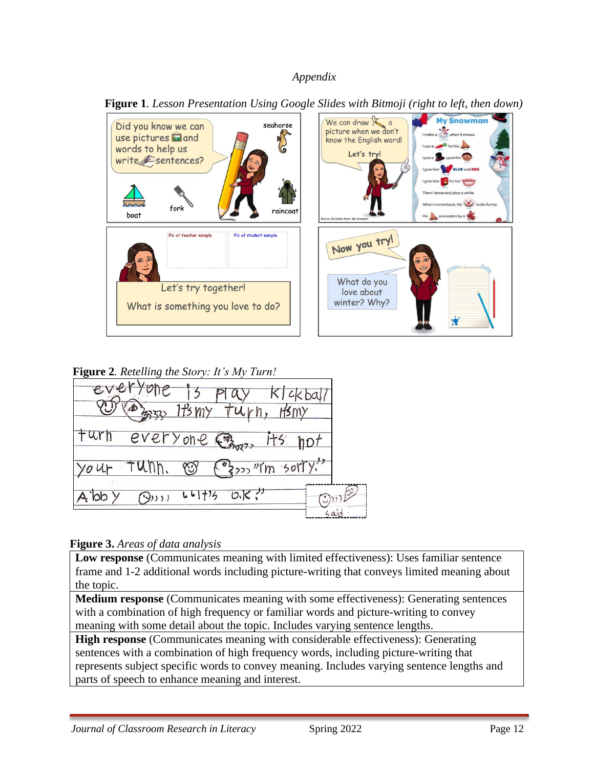## *Appendix*



 **Figure 1**. *Lesson Presentation Using Google Slides with Bitmoji (right to left, then down)*

**Figure 2***. Retelling the Story: It's My Turn!*



## **Figure 3.** *Areas of data analysis*

**Low response** (Communicates meaning with limited effectiveness): Uses familiar sentence frame and 1-2 additional words including picture-writing that conveys limited meaning about the topic.

**Medium response** (Communicates meaning with some effectiveness): Generating sentences with a combination of high frequency or familiar words and picture-writing to convey meaning with some detail about the topic. Includes varying sentence lengths.

**High response** (Communicates meaning with considerable effectiveness): Generating sentences with a combination of high frequency words, including picture-writing that represents subject specific words to convey meaning. Includes varying sentence lengths and parts of speech to enhance meaning and interest.